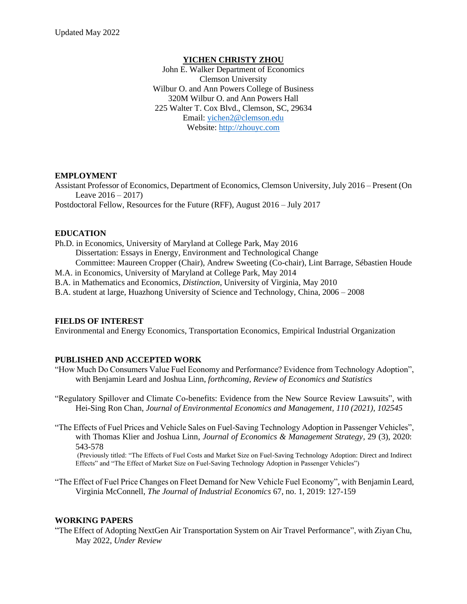### **YICHEN CHRISTY ZHOU**

John E. Walker Department of Economics Clemson University Wilbur O. and Ann Powers College of Business 320M Wilbur O. and Ann Powers Hall 225 Walter T. Cox Blvd., Clemson, SC, 29634 Email: [yichen2@clemson.edu](mailto:yichen2@clemson.edu) Website: [http://zhouyc.com](http://zhouyc.com/)

#### **EMPLOYMENT**

Assistant Professor of Economics, Department of Economics, Clemson University, July 2016 – Present (On Leave  $2016 - 2017$ ) Postdoctoral Fellow, Resources for the Future (RFF), August 2016 – July 2017

### **EDUCATION**

Ph.D. in Economics, University of Maryland at College Park, May 2016 Dissertation: Essays in Energy, Environment and Technological Change Committee: Maureen Cropper (Chair), Andrew Sweeting (Co-chair), Lint Barrage, Sébastien Houde M.A. in Economics, University of Maryland at College Park, May 2014 B.A. in Mathematics and Economics, *Distinction*, University of Virginia, May 2010 B.A. student at large, Huazhong University of Science and Technology, China, 2006 – 2008

#### **FIELDS OF INTEREST**

Environmental and Energy Economics, Transportation Economics, Empirical Industrial Organization

### **PUBLISHED AND ACCEPTED WORK**

- "How Much Do Consumers Value Fuel Economy and Performance? Evidence from Technology Adoption", with Benjamin Leard and Joshua Linn, *forthcoming, Review of Economics and Statistics*
- "Regulatory Spillover and Climate Co-benefits: Evidence from the New Source Review Lawsuits", with Hei-Sing Ron Chan, *Journal of Environmental Economics and Management, 110 (2021), 102545*
- "The Effects of Fuel Prices and Vehicle Sales on Fuel-Saving Technology Adoption in Passenger Vehicles", with Thomas Klier and Joshua Linn, *Journal of Economics & Management Strategy,* 29 (3), 2020: 543-578

(Previously titled: "The Effects of Fuel Costs and Market Size on Fuel-Saving Technology Adoption: Direct and Indirect Effects" and "The Effect of Market Size on Fuel-Saving Technology Adoption in Passenger Vehicles")

"The Effect of Fuel Price Changes on Fleet Demand for New Vehicle Fuel Economy", with Benjamin Leard, Virginia McConnell, *The Journal of Industrial Economics* 67, no. 1, 2019: 127-159

### **WORKING PAPERS**

"The Effect of Adopting NextGen Air Transportation System on Air Travel Performance", with Ziyan Chu, May 2022, *Under Review*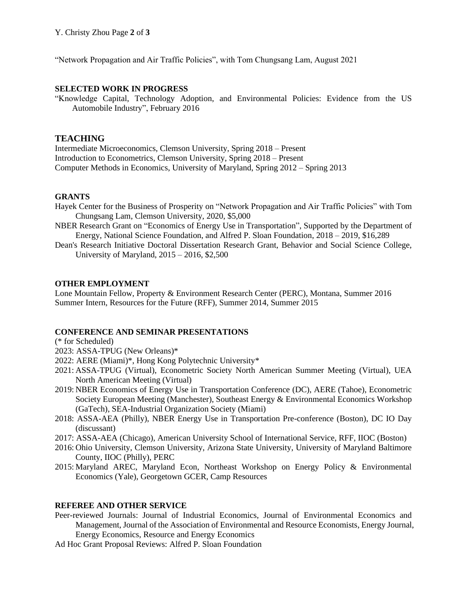"Network Propagation and Air Traffic Policies", with Tom Chungsang Lam, August 2021

### **SELECTED WORK IN PROGRESS**

"Knowledge Capital, Technology Adoption, and Environmental Policies: Evidence from the US Automobile Industry", February 2016

# **TEACHING**

Intermediate Microeconomics, Clemson University, Spring 2018 – Present Introduction to Econometrics, Clemson University, Spring 2018 – Present Computer Methods in Economics, University of Maryland, Spring 2012 – Spring 2013

## **GRANTS**

- Hayek Center for the Business of Prosperity on "Network Propagation and Air Traffic Policies" with Tom Chungsang Lam, Clemson University, 2020, \$5,000
- NBER Research Grant on "Economics of Energy Use in Transportation", Supported by the Department of Energy, National Science Foundation, and Alfred P. Sloan Foundation, 2018 – 2019, \$16,289
- Dean's Research Initiative Doctoral Dissertation Research Grant, Behavior and Social Science College, University of Maryland, 2015 – 2016, \$2,500

### **OTHER EMPLOYMENT**

Lone Mountain Fellow, Property & Environment Research Center (PERC), Montana, Summer 2016 Summer Intern, Resources for the Future (RFF), Summer 2014, Summer 2015

### **CONFERENCE AND SEMINAR PRESENTATIONS**

(\* for Scheduled)

- 2023: ASSA-TPUG (New Orleans)\*
- 2022: AERE (Miami)\*, Hong Kong Polytechnic University\*
- 2021: ASSA-TPUG (Virtual), Econometric Society North American Summer Meeting (Virtual), UEA North American Meeting (Virtual)
- 2019: NBER Economics of Energy Use in Transportation Conference (DC), AERE (Tahoe), Econometric Society European Meeting (Manchester), Southeast Energy & Environmental Economics Workshop (GaTech), SEA-Industrial Organization Society (Miami)
- 2018: ASSA-AEA (Philly), NBER Energy Use in Transportation Pre-conference (Boston), DC IO Day (discussant)
- 2017: ASSA-AEA (Chicago), American University School of International Service, RFF, IIOC (Boston)
- 2016: Ohio University, Clemson University, Arizona State University, University of Maryland Baltimore County, IIOC (Philly), PERC
- 2015: Maryland AREC, Maryland Econ, Northeast Workshop on Energy Policy & Environmental Economics (Yale), Georgetown GCER, Camp Resources

### **REFEREE AND OTHER SERVICE**

- Peer-reviewed Journals: Journal of Industrial Economics, Journal of Environmental Economics and Management, Journal of the Association of Environmental and Resource Economists, Energy Journal, Energy Economics, Resource and Energy Economics
- Ad Hoc Grant Proposal Reviews: Alfred P. Sloan Foundation